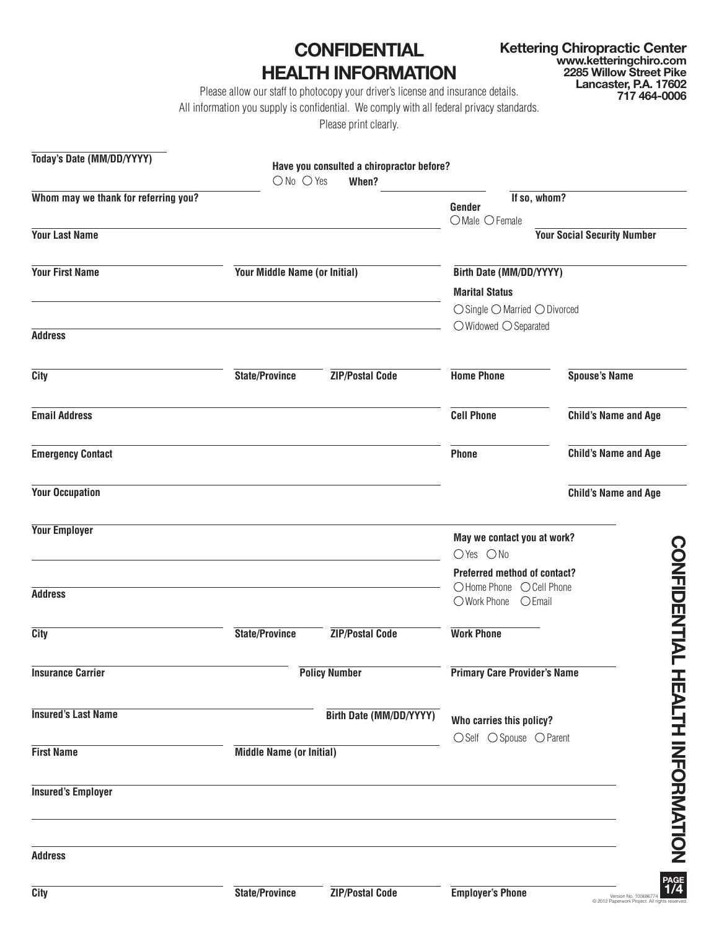**CONFIDENTIAL HEALTH INFORMATION** **Kettering Chiropractic Center www.ketteringchiro.com 2285 Willow Street Pike Lancaster, P.A. 17602 717 464-0006**

Please allow our staff to photocopy your driver's license and insurance details.

All information you supply is confidential. We comply with all federal privacy standards.

Please print clearly.

| Today's Date (MM/DD/YYYY)            |                                 | Have you consulted a chiropractor before? |                                                          |                                    |
|--------------------------------------|---------------------------------|-------------------------------------------|----------------------------------------------------------|------------------------------------|
|                                      | $\bigcirc$ No $\bigcirc$ Yes    | When?                                     |                                                          |                                    |
| Whom may we thank for referring you? |                                 |                                           | If so, whom?<br>Gender                                   |                                    |
|                                      |                                 |                                           | $O$ Male $O$ Female                                      |                                    |
| <b>Your Last Name</b>                |                                 |                                           |                                                          | <b>Your Social Security Number</b> |
| <b>Your First Name</b>               | Your Middle Name (or Initial)   |                                           | Birth Date (MM/DD/YYYY)                                  |                                    |
|                                      |                                 |                                           | <b>Marital Status</b>                                    |                                    |
|                                      |                                 |                                           | $\bigcirc$ Single $\bigcirc$ Married $\bigcirc$ Divorced |                                    |
| <b>Address</b>                       |                                 |                                           | $\bigcirc$ Widowed $\bigcirc$ Separated                  |                                    |
|                                      |                                 |                                           |                                                          |                                    |
| <b>City</b>                          | <b>State/Province</b>           | <b>ZIP/Postal Code</b>                    | <b>Home Phone</b>                                        | <b>Spouse's Name</b>               |
| <b>Email Address</b>                 |                                 |                                           | <b>Cell Phone</b>                                        | <b>Child's Name and Age</b>        |
| <b>Emergency Contact</b>             |                                 |                                           | <b>Phone</b>                                             | <b>Child's Name and Age</b>        |
| <b>Your Occupation</b>               |                                 |                                           |                                                          | <b>Child's Name and Age</b>        |
| <b>Your Employer</b>                 |                                 |                                           | May we contact you at work?                              |                                    |
|                                      |                                 |                                           | $OYes$ $ONo$                                             |                                    |
|                                      |                                 |                                           | <b>Preferred method of contact?</b>                      |                                    |
| <b>Address</b>                       |                                 |                                           | O Home Phone<br>○ Work Phone<br>$O$ Email                | ○ Cell Phone                       |
| <b>City</b>                          | State/Province                  | <b>ZIP/Postal Code</b>                    | <b>Work Phone</b>                                        | <b>CONFIDENTIAL</b>                |
| <b>Insurance Carrier</b>             |                                 | <b>Policy Number</b>                      | <b>Primary Care Provider's Name</b>                      |                                    |
| <b>Insured's Last Name</b>           |                                 | <b>Birth Date (MM/DD/YYYY)</b>            | Who carries this policy?                                 |                                    |
|                                      |                                 |                                           | $\bigcirc$ Self $\bigcirc$ Spouse $\bigcirc$ Parent      |                                    |
| <b>First Name</b>                    | <b>Middle Name (or Initial)</b> |                                           |                                                          |                                    |
| <b>Insured's Employer</b>            |                                 |                                           |                                                          | <b>HEALIN INFORMATION</b>          |
| <b>Address</b>                       |                                 |                                           |                                                          |                                    |
| <b>City</b>                          | State/Province                  | <b>ZIP/Postal Code</b>                    | <b>Employer's Phone</b>                                  | PAGE $1/4$<br>Version No. 1006863  |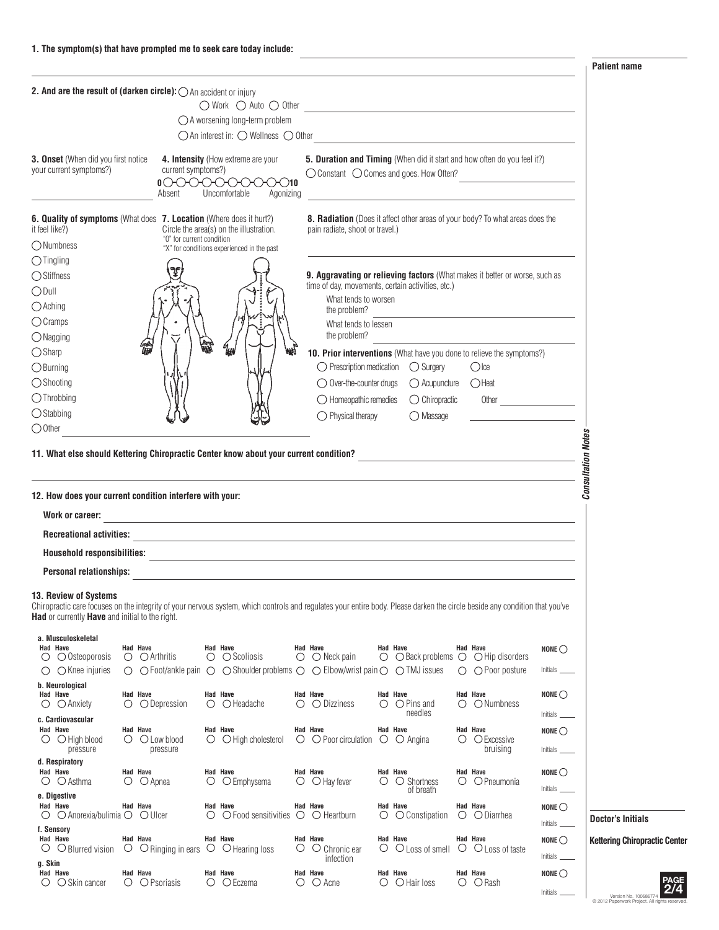**Patient name**

| 2. And are the result of (darken circle): O An accident or injury                                                                                                                                                                                                     |                                                         |   | $\begin{array}{c} \bigcirc \text{Work} \quad \bigcirc \text{ Auto} \ \bigcirc \text{ Other} \end{array} \qquad \qquad \begin{array}{c} \begin{array}{c} \text{Output} \ \end{array} \end{array}$<br>$\bigcirc$ A worsening long-term problem |                                                                                                                                                                          |   |                                                                                     |                                                                                                                      |                                      |                                                                              |
|-----------------------------------------------------------------------------------------------------------------------------------------------------------------------------------------------------------------------------------------------------------------------|---------------------------------------------------------|---|----------------------------------------------------------------------------------------------------------------------------------------------------------------------------------------------------------------------------------------------|--------------------------------------------------------------------------------------------------------------------------------------------------------------------------|---|-------------------------------------------------------------------------------------|----------------------------------------------------------------------------------------------------------------------|--------------------------------------|------------------------------------------------------------------------------|
|                                                                                                                                                                                                                                                                       |                                                         |   | $\bigcirc$ An interest in: $\bigcirc$ Wellness $\bigcirc$ Other                                                                                                                                                                              |                                                                                                                                                                          |   |                                                                                     | <u> 1980 - Jan Stein Stein Stein Stein Stein Stein Stein Stein Stein Stein Stein Stein Stein Stein Stein Stein S</u> |                                      |                                                                              |
| 3. Onset (When did you first notice<br>your current symptoms?)                                                                                                                                                                                                        | current symptoms?)<br>00000000<br>Absent                |   | 4. Intensity (How extreme are your<br>Uncomfortable<br>Agonizing                                                                                                                                                                             | 5. Duration and Timing (When did it start and how often do you feel it?)<br>◯ Constant ◯ Comes and goes. How Often?                                                      |   |                                                                                     |                                                                                                                      |                                      |                                                                              |
| 6. Quality of symptoms (What does 7. Location (Where does it hurt?)<br>it feel like?)<br>◯ Numbness                                                                                                                                                                   | "0" for current condition                               |   | Circle the area(s) on the illustration.<br>"X" for conditions experienced in the past                                                                                                                                                        | 8. Radiation (Does it affect other areas of your body? To what areas does the<br>pain radiate, shoot or travel.)                                                         |   |                                                                                     |                                                                                                                      |                                      |                                                                              |
| $\bigcirc$ Tingling<br>◯ Stiffness<br>$O$ Dull<br>$O$ Aching                                                                                                                                                                                                          |                                                         |   |                                                                                                                                                                                                                                              | 9. Aggravating or relieving factors (What makes it better or worse, such as<br>time of day, movements, certain activities, etc.)<br>What tends to worsen<br>the problem? |   |                                                                                     |                                                                                                                      |                                      |                                                                              |
| $\bigcirc$ Cramps<br>$\bigcirc$ Nagging<br>$\bigcirc$ Sharp                                                                                                                                                                                                           |                                                         | 縊 | qш                                                                                                                                                                                                                                           | What tends to lessen<br>the problem?<br>10. Prior interventions (What have you done to relieve the symptoms?)                                                            |   |                                                                                     |                                                                                                                      |                                      |                                                                              |
| $\bigcirc$ Burning<br>$\bigcirc$ Shooting<br>$\bigcirc$ Throbbing                                                                                                                                                                                                     |                                                         |   |                                                                                                                                                                                                                                              | $\bigcirc$ Prescription medication $\bigcirc$ Surgery<br>$\bigcirc$ Homeopathic remedies                                                                                 |   | $\bigcirc$ Over-the-counter drugs $\bigcirc$ Acupuncture<br>$\bigcirc$ Chiropractic | $\bigcirc$ lce<br>$O$ Heat                                                                                           |                                      |                                                                              |
| $\bigcirc$ Stabbing<br>$\bigcirc$ Other                                                                                                                                                                                                                               |                                                         |   |                                                                                                                                                                                                                                              | $\bigcirc$ Physical therapy                                                                                                                                              |   | $\bigcirc$ Massage                                                                  |                                                                                                                      |                                      |                                                                              |
| 12. How does your current condition interfere with your:<br>Work or career:<br><b>Recreational activities:</b><br>Household responsibilities:                                                                                                                         |                                                         |   | <u> 1980 - Johann Barbara, martxa alemaniar argumento este alemaniar alemaniar alemaniar alemaniar alemaniar a</u><br>and the control of the control of the control of the control of the control of the control of the control of the       |                                                                                                                                                                          |   |                                                                                     |                                                                                                                      |                                      | <b>Consultation Notes</b>                                                    |
| <b>Personal relationships:</b>                                                                                                                                                                                                                                        |                                                         |   |                                                                                                                                                                                                                                              |                                                                                                                                                                          |   |                                                                                     |                                                                                                                      |                                      |                                                                              |
| 13. Review of Systems<br>Chiropractic care focuses on the integrity of your nervous system, which controls and regulates your entire body. Please darken the circle beside any condition that you've<br><b>Had</b> or currently <b>Have</b> and initial to the right. |                                                         |   |                                                                                                                                                                                                                                              |                                                                                                                                                                          |   |                                                                                     |                                                                                                                      |                                      |                                                                              |
| a. Musculoskeletal<br><b>Had Have</b><br>$\bigcirc$ $\bigcirc$ Osteoporosis<br>$\bigcirc$ $\bigcirc$ Knee injuries                                                                                                                                                    | Had Have<br>$\bigcirc$ $\bigcirc$ Arthritis             |   | Had Have<br>$\circ$ $\circ$ Scoliosis<br>$\bigcirc$ $\bigcirc$ Foot/ankle pain $\bigcirc$ $\bigcirc$ Shoulder problems $\bigcirc$ $\bigcirc$ Elbow/wrist pain $\bigcirc$ $\bigcirc$ TMJ issues                                               | Had Have<br>$\bigcirc$ $\bigcirc$ Neck pain                                                                                                                              |   | Had Have<br>$\bigcirc$ $\bigcirc$ Back problems $\bigcirc$ $\bigcirc$ Hip disorders | Had Have<br>$\bigcirc$ $\bigcirc$ Poor posture                                                                       | NONE $\bigcirc$                      |                                                                              |
| b. Neurological<br>Had Have<br>$\bigcirc$ $\bigcirc$ Anxiety<br>c. Cardiovascular                                                                                                                                                                                     | Had Have<br>$\bigcirc$ $\bigcirc$ Depression            |   | Had Have<br>$\bigcirc$ $\bigcirc$ Headache                                                                                                                                                                                                   | Had Have<br>$\bigcirc$ $\bigcirc$ Dizziness                                                                                                                              |   | Had Have<br>$\bigcirc$ $\bigcirc$ Pins and<br>needles                               | Had Have<br>$\bigcirc$ $\bigcirc$ Numbness                                                                           | NONE $\bigcirc$                      |                                                                              |
| Had Have<br>$\bigcirc$ $\bigcirc$ High blood<br>pressure                                                                                                                                                                                                              | Had Have<br>$\bigcirc$ $\bigcirc$ Low blood<br>pressure |   | Had Have<br>$\bigcirc$ $\bigcirc$ High cholesterol                                                                                                                                                                                           | Had Have<br>$\bigcirc$ $\bigcirc$ Poor circulation                                                                                                                       |   | Had Have<br>$\circ$ $\circ$ Angina                                                  | Had Have<br>$\bigcirc$ $\bigcirc$ Excessive<br>bruising                                                              | NONE $\bigcirc$                      |                                                                              |
| d. Respiratory<br>Had Have<br>$\bigcirc$ $\bigcirc$ Asthma<br>e. Digestive                                                                                                                                                                                            | Had Have<br>$\bigcirc$ $\bigcirc$ Apnea                 |   | Had Have<br>$\circ$ $\circ$ Emphysema                                                                                                                                                                                                        | Had Have<br>$\bigcirc$ $\bigcirc$ Hay fever                                                                                                                              |   | Had Have<br>$\circ$ $\circ$ Shortness<br>of breath                                  | Had Have<br>$\circ$ $\circ$ Pneumonia                                                                                | NONE $\bigcirc$<br>$Initials$ $\_\_$ |                                                                              |
| Had Have<br>$\circ$ $\circ$ Anorexia/bulimia $\circ$ $\circ$ Ulcer<br>f. Sensory                                                                                                                                                                                      | Had Have                                                |   | Had Have<br>$\circ$ $\circ$ $\circ$ Food sensitivities $\circ$ $\circ$ Heartburn                                                                                                                                                             | Had Have                                                                                                                                                                 | O | Had Have<br>○ Constipation                                                          | Had Have<br>$\bigcirc$ $\bigcirc$ Diarrhea                                                                           | NONE $\bigcirc$<br>Initials          | <b>Doctor's Initials</b>                                                     |
| Had Have<br>$\circ$ $\circ$ Blurred vision<br>g. Skin                                                                                                                                                                                                                 | <b>Had Have</b><br>○ ○ Ringing in ears ○ ○ Hearing loss |   | Had Have                                                                                                                                                                                                                                     | <b>Had Have</b><br>$\circ$ $\circ$ Chronic ear<br>infection                                                                                                              |   | <b>Had Have</b><br>$\circ$ $\circ$ Loss of smell $\circ$ $\circ$ Loss of taste      | <b>Had Have</b>                                                                                                      | NONE $\bigcirc$<br>Initials          | <b>Kettering Chiropractic Center</b>                                         |
| Had Have<br>$\bigcirc$ $\bigcirc$ Skin cancer                                                                                                                                                                                                                         | Had Have<br>$\bigcirc$ $\bigcirc$ Psoriasis             |   | Had Have<br>$\bigcirc$ $\bigcirc$ Eczema                                                                                                                                                                                                     | Had Have<br>$\bigcirc$ $\bigcirc$ Acne                                                                                                                                   |   | Had Have<br>$\bigcirc$ $\bigcirc$ Hair loss                                         | Had Have<br>$\bigcirc$ $\bigcirc$ Rash                                                                               | NONE $\bigcirc$<br>Initials _        | PAGE<br>Version No. 10068677<br>C 2012 Paperwork Project. All rights reserve |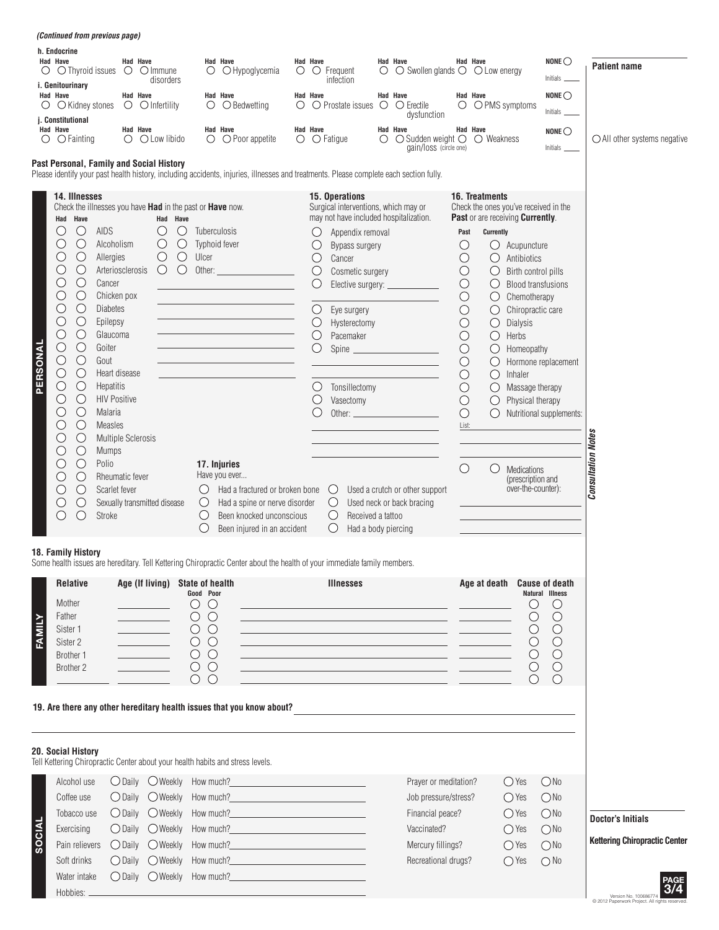| Had Have<br>$\circ$<br><b>Had Have</b><br>$\circ$ | h. Endocrine<br><b>Had Have</b><br>$\circ$ $\circ$ Thyroid issues<br>i. Genitourinary<br>○ Kidney stones<br>j. Constitutional<br>$\bigcirc$ Fainting<br>Past Personal, Family and Social History                                                                                                                                                                                                                                                                                                                                                                                                 | <b>Had Have</b><br>$\circ$<br>Had Have<br><b>Had Have</b><br>O                                                                                                                                                                                                                                                            | $\bigcirc$ Immune<br>disorders<br>$\circ$ $\circ$ Infertility<br>O Low libido                                     | Had Have<br>$\bigcirc$ Hypoglycemia<br>O<br>Had Have<br>$\circ$<br>$\bigcirc$ Bedwetting<br><b>Had Have</b><br>$\bigcirc$ Poor appetite<br>$\bigcirc$                                                                                                                                                                                                                                                                                                         | Ő                                                                                                                                                                      | <b>Had Have</b><br>Had Have<br>Had Have                                                                                 | $\circ$ Frequent<br>infection<br>$\bigcirc$ $\bigcirc$ Prostate issues<br>$\bigcirc$ $\bigcirc$ Fatigue                                                                                                                                                                                                                                                                                   | $\circ$<br>$\circ$<br>$\left($ $\right)$ | Had Have<br>$\bigcirc$ Swollen glands $\bigcirc$ $\bigcirc$ Low energy<br>Had Have<br>$\bigcirc$ Erectile<br>dysfunction<br><b>Had Have</b><br>$\bigcirc$ Sudden weight $\bigcirc$<br>gain/loss (circle one)                                                                                                                                                                                         | $\circ$                                                                                                                                                                                                                | Had Have<br>Had Have<br>O PMS symptoms<br>Had Have<br>$\bigcirc$ Weakness                                                                                                                                                                                                                                                                  |                                                                                                                                                                                                                                       | NONE $\bigcirc$<br>Initials<br>NONE $\bigcirc$<br>Initials _<br>$NONE \bigcirc$<br>Initials _                            | <b>Patient name</b><br>$\bigcirc$ All other systems negative     |
|---------------------------------------------------|--------------------------------------------------------------------------------------------------------------------------------------------------------------------------------------------------------------------------------------------------------------------------------------------------------------------------------------------------------------------------------------------------------------------------------------------------------------------------------------------------------------------------------------------------------------------------------------------------|---------------------------------------------------------------------------------------------------------------------------------------------------------------------------------------------------------------------------------------------------------------------------------------------------------------------------|-------------------------------------------------------------------------------------------------------------------|---------------------------------------------------------------------------------------------------------------------------------------------------------------------------------------------------------------------------------------------------------------------------------------------------------------------------------------------------------------------------------------------------------------------------------------------------------------|------------------------------------------------------------------------------------------------------------------------------------------------------------------------|-------------------------------------------------------------------------------------------------------------------------|-------------------------------------------------------------------------------------------------------------------------------------------------------------------------------------------------------------------------------------------------------------------------------------------------------------------------------------------------------------------------------------------|------------------------------------------|------------------------------------------------------------------------------------------------------------------------------------------------------------------------------------------------------------------------------------------------------------------------------------------------------------------------------------------------------------------------------------------------------|------------------------------------------------------------------------------------------------------------------------------------------------------------------------------------------------------------------------|--------------------------------------------------------------------------------------------------------------------------------------------------------------------------------------------------------------------------------------------------------------------------------------------------------------------------------------------|---------------------------------------------------------------------------------------------------------------------------------------------------------------------------------------------------------------------------------------|--------------------------------------------------------------------------------------------------------------------------|------------------------------------------------------------------|
| PERSONAL                                          | 14. Illnesses<br>Check the illnesses you have Had in the past or Have now.<br>Had Have<br>$\bigcirc$<br><b>AIDS</b><br>$\bigcirc$<br>$\bigcirc$<br>$\bigcirc$<br>O<br>$\bigcirc$<br>O<br>$\bigcirc$<br>$\bigcirc$<br>O<br>$\bigcirc$<br>$\cup$<br>$\bigcirc$<br>$\bigcirc$<br>$\bigcirc$<br>Goiter<br>O<br>$\bigcirc$<br>$\bigcirc$<br>Gout<br>$\bigcirc$<br>$\bigcirc$<br>$\bigcirc$<br>$\bigcirc$<br>$\bigcirc$<br>O<br>∩<br>$\bigcirc$<br>$\bigcirc$<br>С<br>$\bigcirc$<br>O<br>$\bigcirc$<br>$\bigcirc$<br>Polio<br>$\bigcirc$<br>$\bigcirc$<br>$\bigcirc$<br>С<br>$\bigcirc$<br>O<br>Stroke | Alcoholism<br>Allergies<br>Arteriosclerosis<br>Cancer<br>Chicken pox<br><b>Diabetes</b><br>Epilepsy<br>Glaucoma<br>Heart disease<br><b>Hepatitis</b><br><b>HIV Positive</b><br>Malaria<br><b>Measles</b><br><b>Multiple Sclerosis</b><br><b>Mumps</b><br>Rheumatic fever<br>Scarlet fever<br>Sexually transmitted disease | Had Have<br>$\bigcirc$<br>O<br>$\bigcirc$<br>$\bigcirc$<br>$\bigcirc$<br>$\bigcirc$<br>$\bigcirc$                 | Please identify your past health history, including accidents, injuries, illnesses and treatments. Please complete each section fully.<br>Tuberculosis<br>Typhoid fever<br>Ulcer<br>Other:<br>17. Injuries<br>Have you ever<br>$\bigcirc$                                                                                                                                                                                                                     | Had a fractured or broken bone<br>Had a spine or nerve disorder<br>Been knocked unconscious<br>Been injured in an accident                                             | $\left(\right)$<br>O<br>O<br>$\bigcirc$<br>$\bigcirc$<br>$\bigcirc$<br>$\bigcirc$<br>$\bigcirc$<br>O<br>$\bigcirc$<br>O | 15. Operations<br>Surgical interventions, which may or<br>may not have included hospitalization.<br>Appendix removal<br>Bypass surgery<br>Cancer<br>Cosmetic surgery<br>Elective surgery: ________<br>Eye surgery<br>Hysterectomy<br>Pacemaker<br>Spine<br>Tonsillectomy<br>Vasectomy<br>Ő<br>$\bigcirc$<br>$\circlearrowright$<br>Received a tattoo<br>$\bigcirc$<br>Had a body piercing |                                          | Used a crutch or other support<br>Used neck or back bracing                                                                                                                                                                                                                                                                                                                                          | Past<br>O<br>$\bigcirc$<br>$\bigcirc$<br>$\bigcirc$<br>$\bigcirc$<br>$\bigcirc$<br>$\bigcirc$<br>$\bigcirc$<br>$\bigcirc$<br>$\bigcirc$<br>$\bigcirc$<br>$\bigcirc$<br>$\bigcirc$<br>$\bigcirc$<br>List:<br>$\bigcirc$ | <b>16. Treatments</b><br>Check the ones you've received in the<br>Past or are receiving Currently.<br>Currently<br>$\circlearrowright$<br>$\bigcirc$<br>$\bigcirc$<br>$\bigcirc$<br>$\bigcirc$<br>$\bigcirc$<br>$\bigcirc$<br>$\bigcirc$<br>$\bigcirc$<br>$\bigcirc$<br>$\bigcirc$<br>$\bigcirc$<br>$\bigcirc$<br>$\bigcirc$<br>$\bigcirc$ | Acupuncture<br>Antibiotics<br>Birth control pills<br>Chemotherapy<br>Chiropractic care<br>Dialysis<br>Herbs<br>Homeopathy<br>Inhaler<br>Massage therapy<br>Physical therapy<br>Medications<br>(prescription and<br>over-the-counter): | <b>Blood transfusions</b><br>Hormone replacement<br>Nutritional supplements:                                             | <b>Consultation Notes</b>                                        |
| FAMILY                                            | 18. Family History<br><b>Relative</b><br>Mother<br>Father<br>Sister 1<br>Sister 2<br>Brother 1<br>Brother 2<br>20. Social History<br>Alcohol use                                                                                                                                                                                                                                                                                                                                                                                                                                                 | <u> 1989 - Johann Barnett, f</u>                                                                                                                                                                                                                                                                                          | Age (If living) State of health<br>$\bigcirc$ Daily $\bigcirc$ Weekly How much?                                   | Some health issues are hereditary. Tell Kettering Chiropractic Center about the health of your immediate family members.<br>Good Poor<br>$\bigcirc$<br>$\bigcirc$<br>$\circ$<br>$\bigcirc$<br>$\cup$<br>$\circlearrowright$<br>$O$ $O$<br>$\circ$<br>$\circ$<br>$\circ$ $\circ$<br>$\circ$ $\circ$<br>19. Are there any other hereditary health issues that you know about?<br>Tell Kettering Chiropractic Center about your health habits and stress levels. | <u> 1990 - Johann Barbara, martxa a</u>                                                                                                                                |                                                                                                                         | <b>Illnesses</b>                                                                                                                                                                                                                                                                                                                                                                          |                                          | <u> 1989 - Johann Stein, marwolaethau a bhann an t-Amhair an t-Amhair an t-Amhair an t-Amhair an t-Amhair an t-A</u><br><u> 1999 - Johann John Stone, mars et al. (1999)</u><br><u> 1989 - Andrea Stadt Britain, amerikansk politiker (d. 1989)</u><br><u> 1980 - Jan Stein Berlin, amerikan bestein der stadt i den stadt for de stadt for de stadt for de stadt for d</u><br>Prayer or meditation? |                                                                                                                                                                                                                        | Age at death Cause of death                                                                                                                                                                                                                                                                                                                | $\bigcirc$<br>$\bigcirc$<br>$\bigcirc$<br>$\circlearrowright$<br>$\bigcirc$<br>$\bigcirc$ Yes                                                                                                                                         | Natural Illness<br>$\bigcirc$<br>$\bigcirc$<br>$\bigcirc$<br>$\bigcirc$<br>$\bigcirc$<br>$\bigcirc$<br>$\bigcirc$<br>ONo |                                                                  |
| <b>SOCIAL</b>                                     | Coffee use<br>Tobacco use<br>Exercising<br>Pain relievers<br>Soft drinks<br>Water intake<br>Hobbies: _                                                                                                                                                                                                                                                                                                                                                                                                                                                                                           | $\bigcirc$ Daily $\bigcirc$ Weekly<br>$\bigcirc$ Daily $\bigcirc$ Weekly<br>$\bigcirc$ Daily                                                                                                                                                                                                                              | $\bigcirc$ Daily $\bigcirc$ Weekly How much?<br>$\bigcirc$ Daily $\bigcirc$ Weekly How much?<br>$\bigcirc$ Weekly | How much? The contract of the contract of the contract of the contract of the contract of the contract of the contract of the contract of the contract of the contract of the contract of the contract of the contract of the<br>How much?<br>How much?<br>O Daily O Weekly How much?<br><u>Case of the Contractor</u>                                                                                                                                        | <u> 1989 - Johann Barbara, martxa al II-lea (b. 1989)</u><br><u> 1990 - Jan Barnett, fransk politik (</u><br><u> 1989 - Johann Barbara, martin amerikan personal (</u> |                                                                                                                         |                                                                                                                                                                                                                                                                                                                                                                                           |                                          | Job pressure/stress?<br>Financial peace?<br>Vaccinated?<br>Mercury fillings?<br>Recreational drugs?                                                                                                                                                                                                                                                                                                  |                                                                                                                                                                                                                        |                                                                                                                                                                                                                                                                                                                                            | $\bigcirc$ Yes<br>$\bigcirc$ Yes<br>$\bigcirc$ Yes<br>$\bigcirc$ Yes<br>$\bigcirc$ Yes                                                                                                                                                | ONo<br>ONo<br>ONO<br>ONO<br>$\bigcirc$ No                                                                                | <b>Doctor's Initials</b><br><b>Kettering Chiropractic Center</b> |

*(Continued from previous page)*